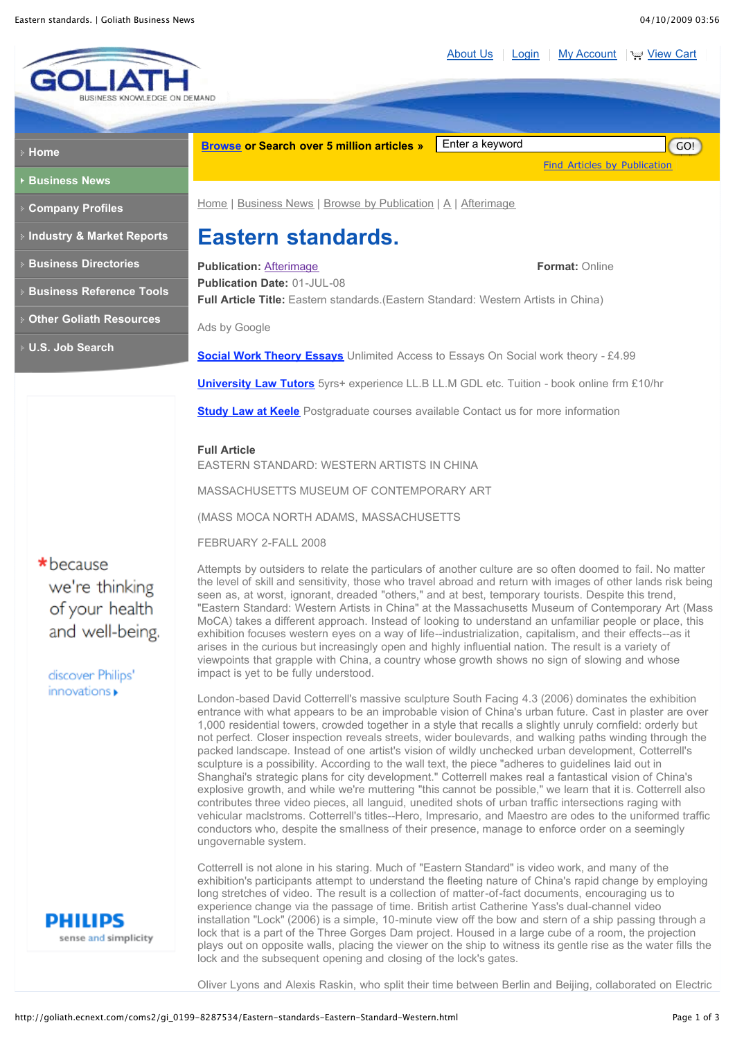[About Us](http://goliath.ecnext.com/coms2/page_about) | [Login](http://goliath.ecnext.com/comsite5/bin/comsite5.pl?page=my_account) | [My Account](http://goliath.ecnext.com/comsite5/bin/comsite5.pl?page=my_account) | W [View Cart](http://goliath.ecnext.com/comsite5/bin/comsite5.pl?page=viewcart)



**Full Article** EASTERN STANDARD: WESTERN ARTISTS IN CHINA

MASSACHUSETTS MUSEUM OF CONTEMPORARY ART

(MASS MOCA NORTH ADAMS, MASSACHUSETTS

FEBRUARY 2-FALL 2008

 $\star$  because we're thinking of your health and well-being.

discover Philips' innovations »



Attempts by outsiders to relate the particulars of another culture are so often doomed to fail. No matter the level of skill and sensitivity, those who travel abroad and return with images of other lands risk being seen as, at worst, ignorant, dreaded "others," and at best, temporary tourists. Despite this trend, "Eastern Standard: Western Artists in China" at the Massachusetts Museum of Contemporary Art (Mass MoCA) takes a different approach. Instead of looking to understand an unfamiliar people or place, this exhibition focuses western eyes on a way of life--industrialization, capitalism, and their effects--as it arises in the curious but increasingly open and highly influential nation. The result is a variety of viewpoints that grapple with China, a country whose growth shows no sign of slowing and whose impact is yet to be fully understood.

London-based David Cotterrell's massive sculpture South Facing 4.3 (2006) dominates the exhibition entrance with what appears to be an improbable vision of China's urban future. Cast in plaster are over 1,000 residential towers, crowded together in a style that recalls a slightly unruly cornfield: orderly but not perfect. Closer inspection reveals streets, wider boulevards, and walking paths winding through the packed landscape. Instead of one artist's vision of wildly unchecked urban development, Cotterrell's sculpture is a possibility. According to the wall text, the piece "adheres to guidelines laid out in Shanghai's strategic plans for city development." Cotterrell makes real a fantastical vision of China's explosive growth, and while we're muttering "this cannot be possible," we learn that it is. Cotterrell also contributes three video pieces, all languid, unedited shots of urban traffic intersections raging with vehicular maclstroms. Cotterrell's titles--Hero, Impresario, and Maestro are odes to the uniformed traffic conductors who, despite the smallness of their presence, manage to enforce order on a seemingly ungovernable system.

Cotterrell is not alone in his staring. Much of "Eastern Standard" is video work, and many of the exhibition's participants attempt to understand the fleeting nature of China's rapid change by employing long stretches of video. The result is a collection of matter-of-fact documents, encouraging us to experience change via the passage of time. British artist Catherine Yass's dual-channel video installation "Lock" (2006) is a simple, 10-minute view off the bow and stern of a ship passing through a lock that is a part of the Three Gorges Dam project. Housed in a large cube of a room, the projection plays out on opposite walls, placing the viewer on the ship to witness its gentle rise as the water fills the lock and the subsequent opening and closing of the lock's gates.

Oliver Lyons and Alexis Raskin, who split their time between Berlin and Beijing, collaborated on Electric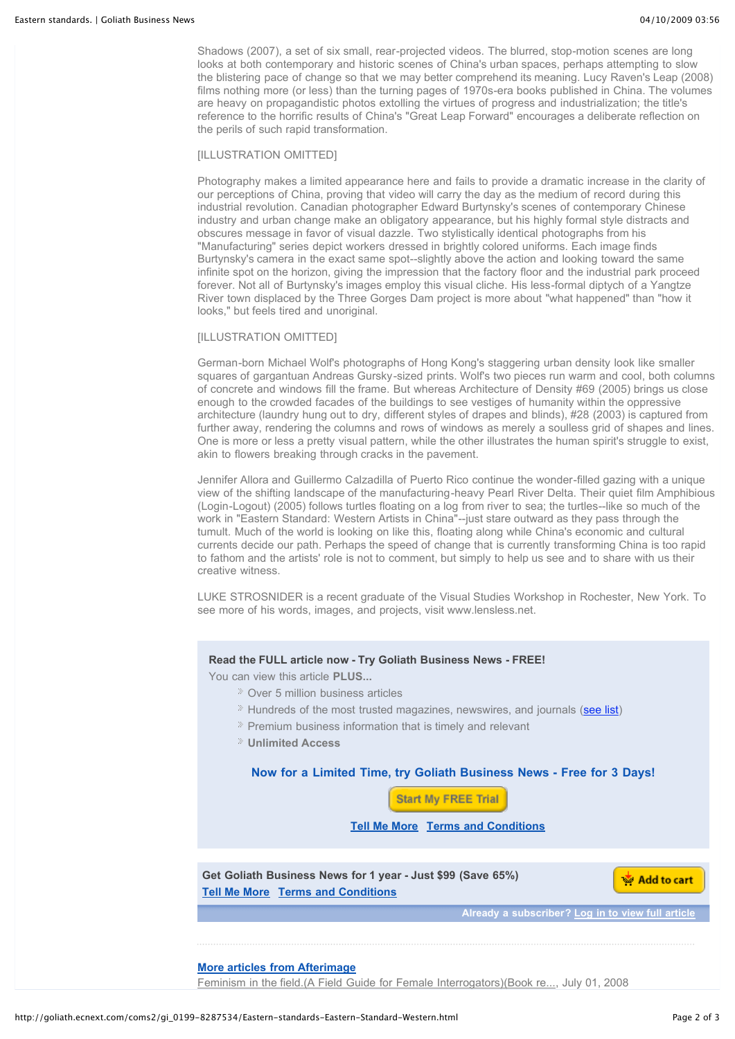Shadows (2007), a set of six small, rear-projected videos. The blurred, stop-motion scenes are long looks at both contemporary and historic scenes of China's urban spaces, perhaps attempting to slow the blistering pace of change so that we may better comprehend its meaning. Lucy Raven's Leap (2008) films nothing more (or less) than the turning pages of 1970s-era books published in China. The volumes are heavy on propagandistic photos extolling the virtues of progress and industrialization; the title's reference to the horrific results of China's "Great Leap Forward" encourages a deliberate reflection on the perils of such rapid transformation.

# [ILLUSTRATION OMITTED]

Photography makes a limited appearance here and fails to provide a dramatic increase in the clarity of our perceptions of China, proving that video will carry the day as the medium of record during this industrial revolution. Canadian photographer Edward Burtynsky's scenes of contemporary Chinese industry and urban change make an obligatory appearance, but his highly formal style distracts and obscures message in favor of visual dazzle. Two stylistically identical photographs from his "Manufacturing" series depict workers dressed in brightly colored uniforms. Each image finds Burtynsky's camera in the exact same spot--slightly above the action and looking toward the same infinite spot on the horizon, giving the impression that the factory floor and the industrial park proceed forever. Not all of Burtynsky's images employ this visual cliche. His less-formal diptych of a Yangtze River town displaced by the Three Gorges Dam project is more about "what happened" than "how it looks," but feels tired and unoriginal.

# [ILLUSTRATION OMITTED]

German-born Michael Wolf's photographs of Hong Kong's staggering urban density look like smaller squares of gargantuan Andreas Gursky-sized prints. Wolf's two pieces run warm and cool, both columns of concrete and windows fill the frame. But whereas Architecture of Density #69 (2005) brings us close enough to the crowded facades of the buildings to see vestiges of humanity within the oppressive architecture (laundry hung out to dry, different styles of drapes and blinds), #28 (2003) is captured from further away, rendering the columns and rows of windows as merely a soulless grid of shapes and lines. One is more or less a pretty visual pattern, while the other illustrates the human spirit's struggle to exist, akin to flowers breaking through cracks in the pavement.

Jennifer Allora and Guillermo Calzadilla of Puerto Rico continue the wonder-filled gazing with a unique view of the shifting landscape of the manufacturing-heavy Pearl River Delta. Their quiet film Amphibious (Login-Logout) (2005) follows turtles floating on a log from river to sea; the turtles--like so much of the work in "Eastern Standard: Western Artists in China"--just stare outward as they pass through the tumult. Much of the world is looking on like this, floating along while China's economic and cultural currents decide our path. Perhaps the speed of change that is currently transforming China is too rapid to fathom and the artists' role is not to comment, but simply to help us see and to share with us their creative witness.

LUKE STROSNIDER is a recent graduate of the Visual Studies Workshop in Rochester, New York. To see more of his words, images, and projects, visit www.lensless.net.

# **Read the FULL article now - Try Goliath Business News - FREE!**

You can view this article **PLUS...**

- Over 5 million business articles
- <sup>»</sup> Hundreds of the most trusted magazines, newswires, and journals ([see list](http://goliath.ecnext.com/coms2/browse_R_))
- Premium business information that is timely and relevant
- **Unlimited Access**

**Now for a Limited Time, try Goliath Business News - Free for 3 Days!**

**Start My FREE Trial** 

**Tell Me More [Terms and Conditions](http://goliath.ecnext.com/coms2/page_terms_and_conditions)**

**Get Goliath Business News for 1 year - Just \$99 (Save 65%) Tell Me More [Terms and Conditions](http://goliath.ecnext.com/coms2/page_terms_and_conditions)**

Add to cart

**Already a subscriber? [Log in to view full article](http://goliath.ecnext.com/coms2/page_my_account)**

# **[More articles from Afterimage](http://goliath.ecnext.com/coms2/browse_R_A031)**

[Feminism in the field.\(A Field Guide for Female Interrogators\)\(Book re...](http://goliath.ecnext.com/coms2/gi_0199-8287535/Feminism-in-the-field.html), July 01, 2008